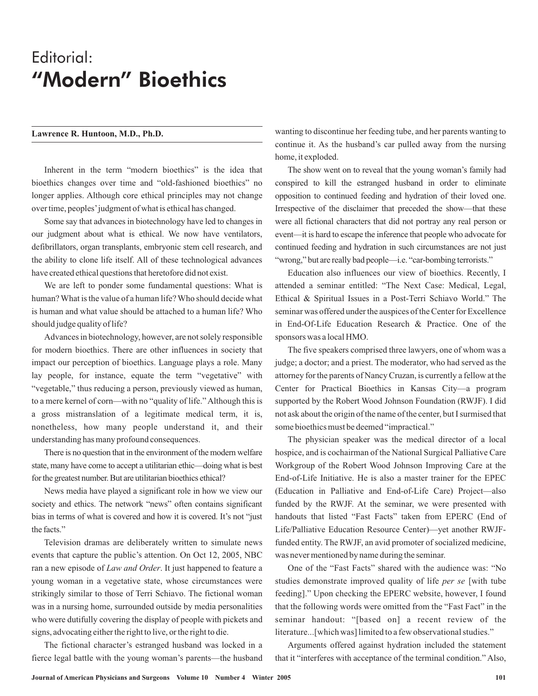# Editorial: "Modern" Bioethics

Inherent in the term "modern bioethics" is the idea that bioethics changes over time and "old-fashioned bioethics" no longer applies. Although core ethical principles may not change over time, peoples'judgment of what is ethical has changed.

Some say that advances in biotechnology have led to changes in our judgment about what is ethical. We now have ventilators, defibrillators, organ transplants, embryonic stem cell research, and the ability to clone life itself. All of these technological advances have created ethical questions that heretofore did not exist.

We are left to ponder some fundamental questions: What is human?What is the value of a human life?Who should decide what is human and what value should be attached to a human life? Who should judge quality of life?

Advances in biotechnology, however, are not solely responsible for modern bioethics. There are other influences in society that impact our perception of bioethics. Language plays a role. Many lay people, for instance, equate the term "vegetative" with "vegetable," thus reducing a person, previously viewed as human, to a mere kernel of corn—with no "quality of life." Although this is a gross mistranslation of a legitimate medical term, it is, nonetheless, how many people understand it, and their understanding has many profound consequences.

There is no question that in the environment of the modern welfare state, many have come to accept a utilitarian ethic—doing what is best for the greatest number. But are utilitarian bioethics ethical?

News media have played a significant role in how we view our society and ethics. The network "news" often contains significant bias in terms of what is covered and how it is covered. It's not "just the facts."

Television dramas are deliberately written to simulate news events that capture the public's attention. On Oct 12, 2005, NBC ran a new episode of *Law and Order*. It just happened to feature a young woman in a vegetative state, whose circumstances were strikingly similar to those of Terri Schiavo. The fictional woman was in a nursing home, surrounded outside by media personalities who were dutifully covering the display of people with pickets and signs, advocating either the right to live, or the right to die.

The fictional character's estranged husband was locked in a fierce legal battle with the young woman's parents—the husband

Lawrence R. Huntoon, M.D., Ph.D. wanting to discontinue her feeding tube, and her parents wanting to continue it. As the husband's car pulled away from the nursing home, it exploded.

> The show went on to reveal that the young woman's family had conspired to kill the estranged husband in order to eliminate opposition to continued feeding and hydration of their loved one. Irrespective of the disclaimer that preceded the show—that these were all fictional characters that did not portray any real person or event—it is hard to escape the inference that people who advocate for continued feeding and hydration in such circumstances are not just "wrong," but are really bad people—i.e. "car-bombing terrorists."

> Education also influences our view of bioethics. Recently, I attended a seminar entitled: "The Next Case: Medical, Legal, Ethical & Spiritual Issues in a Post-Terri Schiavo World." The seminar was offered under the auspices of the Center for Excellence in End-Of-Life Education Research & Practice. One of the sponsors was a local HMO.

> The five speakers comprised three lawyers, one of whom was a judge; a doctor; and a priest. The moderator, who had served as the attorney for the parents of Nancy Cruzan, is currently a fellow at the Center for Practical Bioethics in Kansas City—a program supported by the Robert Wood Johnson Foundation (RWJF). I did not ask about the origin of the name of the center, but I surmised that some bioethics must be deemed "impractical."

> The physician speaker was the medical director of a local hospice, and is cochairman of the National Surgical Palliative Care Workgroup of the Robert Wood Johnson Improving Care at the End-of-Life Initiative. He is also a master trainer for the EPEC (Education in Palliative and End-of-Life Care) Project—also funded by the RWJF. At the seminar, we were presented with handouts that listed "Fast Facts" taken from EPERC (End of Life/Palliative Education Resource Center)—yet another RWJFfunded entity. The RWJF, an avid promoter of socialized medicine, was never mentioned by name during the seminar.

> One of the "Fast Facts" shared with the audience was: "No studies demonstrate improved quality of life *per se* [with tube feeding]." Upon checking the EPERC website, however, I found that the following words were omitted from the "Fast Fact" in the seminar handout: "[based on] a recent review of the literature...[which was] limited to a few observational studies."

> Arguments offered against hydration included the statement that it "interferes with acceptance of the terminal condition." Also,